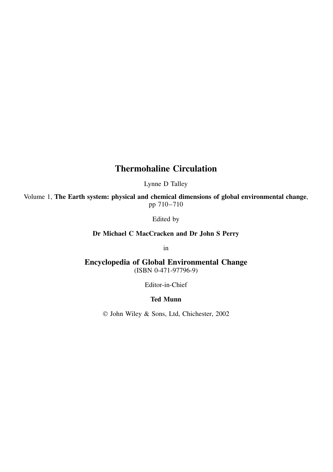## **Thermohaline Circulation**

Lynne D Talley

Volume 1, **The Earth system: physical and chemical dimensions of global environmental change**, pp 710–710

Edited by

**Dr Michael C MacCracken and Dr John S Perry**

in

**Encyclopedia of Global Environmental Change** (ISBN 0-471-97796-9)

Editor-in-Chief

## **Ted Munn**

John Wiley & Sons, Ltd, Chichester, 2002